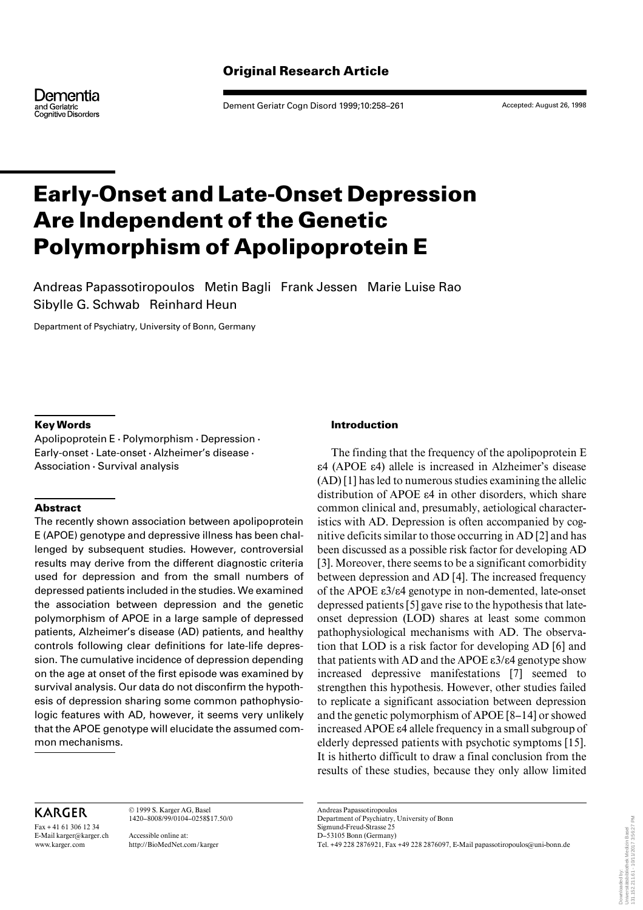# **Original Research Article**

Dementia and Geriatric<br>Cognitive Disorders

Dement Geriatr Cogn Disord 1999;10:258–261

Accepted: August 26, 1998

# **Early-Onset and Late-Onset Depression Are Independent of the Genetic Polymorphism of Apolipoprotein E**

Andreas Papassotiropoulos Metin Bagli Frank Jessen Marie Luise Rao Sibylle G. Schwab Reinhard Heun

Department of Psychiatry, University of Bonn, Germany

# **Key Words**

Apolipoprotein E  $\cdot$  Polymorphism  $\cdot$  Depression  $\cdot$ Early-onset · Late-onset · Alzheimer's disease · Association  $\cdot$  Survival analysis

# **Abstract**

The recently shown association between apolipoprotein E (APOE) genotype and depressive illness has been challenged by subsequent studies. However, controversial results may derive from the different diagnostic criteria used for depression and from the small numbers of depressed patients included in the studies. We examined the association between depression and the genetic polymorphism of APOE in a large sample of depressed patients, Alzheimer's disease (AD) patients, and healthy controls following clear definitions for late-life depression. The cumulative incidence of depression depending on the age at onset of the first episode was examined by survival analysis. Our data do not disconfirm the hypothesis of depression sharing some common pathophysiologic features with AD, however, it seems very unlikely that the APOE genotype will elucidate the assumed common mechanisms.

# **Introduction**

The finding that the frequency of the apolipoprotein E  $ε$ 4 (APOE ε $4$ ) allele is increased in Alzheimer's disease (AD) [1] has led to numerous studies examining the allelic distribution of APOE  $\varepsilon$ 4 in other disorders, which share common clinical and, presumably, aetiological characteristics with AD. Depression is often accompanied by cognitive deficits similar to those occurring in AD [2] and has been discussed as a possible risk factor for developing AD [3]. Moreover, there seems to be a significant comorbidity between depression and AD [4]. The increased frequency of the APOE  $\epsilon$ 3/ $\epsilon$ 4 genotype in non-demented, late-onset depressed patients [5] gave rise to the hypothesis that lateonset depression (LOD) shares at least some common pathophysiological mechanisms with AD. The observation that LOD is a risk factor for developing AD [6] and that patients with AD and the APOE  $\varepsilon$ 3/ $\varepsilon$ 4 genotype show increased depressive manifestations [7] seemed to strengthen this hypothesis. However, other studies failed to replicate a significant association between depression and the genetic polymorphism of APOE [8–14] or showed increased APOE  $\varepsilon$ 4 allele frequency in a small subgroup of elderly depressed patients with psychotic symptoms [15]. It is hitherto difficult to draw a final conclusion from the results of these studies, because they only allow limited

# **KARGER**

Fax + 41 61 306 12 34 E-Mail karger@karger.ch www.karger.com

© 1999 S. Karger AG, Basel 1420–8008/99/0104–0258\$17.50/0

Accessible online at: http://BioMedNet.com/karger

Andreas Papassotiropoulos Department of Psychiatry, University of Bonn Sigmund-Freud-Strasse 25 D–53105 Bonn (Germany) Tel. +49 228 2876921, Fax +49 228 2876097, E-Mail papassotiropoulos@uni-bonn.de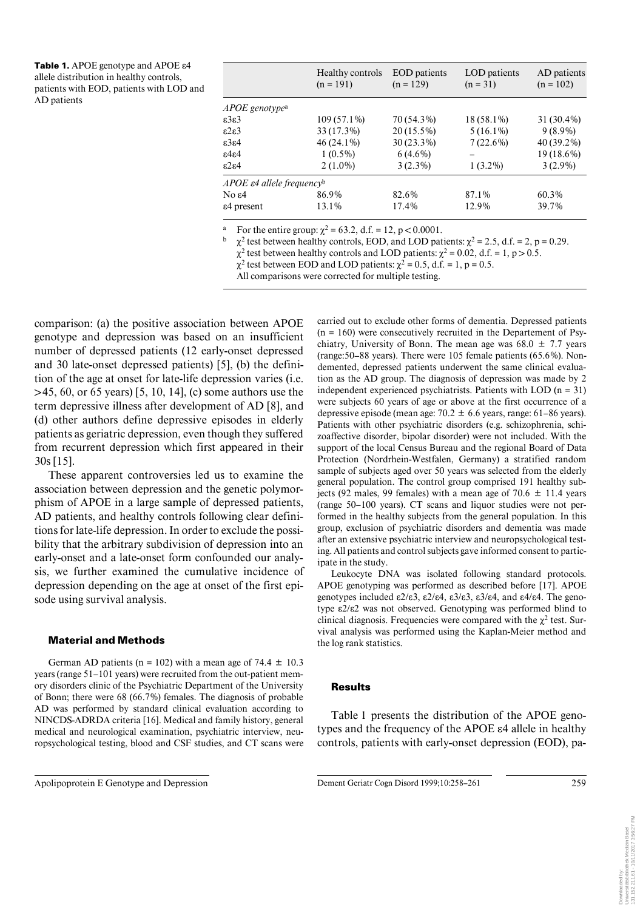Table 1. APOE genotype and APOE ε4 allele distribution in healthy controls, patients with EOD, patients with LOD and AD patients

| Healthy controls<br>$(n = 191)$ | <b>EOD</b> patients<br>$(n = 129)$                 | LOD patients<br>$(n = 31)$ | AD patients<br>$(n = 102)$ |
|---------------------------------|----------------------------------------------------|----------------------------|----------------------------|
|                                 |                                                    |                            |                            |
| $109(57.1\%)$                   | 70 (54.3%)                                         | 18 (58.1%)                 | 31 (30.4%)                 |
| 33 (17.3%)                      | $20(15.5\%)$                                       | $5(16.1\%)$                | $9(8.9\%)$                 |
| $46(24.1\%)$                    | $30(23.3\%)$                                       | $7(22.6\%)$                | 40 (39.2%)                 |
| $1(0.5\%)$                      | $6(4.6\%)$                                         |                            | 19 (18.6%)                 |
| $2(1.0\%)$                      | $3(2.3\%)$                                         | $1(3.2\%)$                 | $3(2.9\%)$                 |
|                                 |                                                    |                            |                            |
| 86.9%                           | 82.6%                                              | 87.1%                      | 60.3%                      |
| 13.1%                           | 17.4%                                              | 12.9%                      | 39.7%                      |
|                                 | APOE $\varepsilon$ 4 allele frequency <sup>b</sup> |                            |                            |

For the entire group:  $\chi^2$  = 63.2, d.f. = 12, p < 0.0001.

 $\chi^2$  test between healthy controls, EOD, and LOD patients:  $\chi^2 = 2.5$ , d.f. = 2, p = 0.29.

 $\chi^2$  test between healthy controls and LOD patients:  $\chi^2 = 0.02$ , d.f. = 1, p > 0.5.

 $\chi^2$  test between EOD and LOD patients:  $\chi^2 = 0.5$ , d.f. = 1, p = 0.5.

All comparisons were corrected for multiple testing.

comparison: (a) the positive association between APOE genotype and depression was based on an insufficient number of depressed patients (12 early-onset depressed and 30 late-onset depressed patients) [5], (b) the definition of the age at onset for late-life depression varies (*i.e.*)  $>45, 60,$  or 65 years) [5, 10, 14], (c) some authors use the term depressive illness after development of AD [8], and (d) other authors define depressive episodes in elderly patients as geriatric depression, even though they suffered from recurrent depression which first appeared in their  $30s$  [15].

These apparent controversies led us to examine the association between depression and the genetic polymorphism of APOE in a large sample of depressed patients, AD patients, and healthy controls following clear definitions for late-life depression. In order to exclude the possibility that the arbitrary subdivision of depression into an early-onset and a late-onset form confounded our analysis, we further examined the cumulative incidence of depression depending on the age at onset of the first episode using survival analysis.

#### **Material and Methods**

German AD patients ( $n = 102$ ) with a mean age of 74.4  $\pm$  10.3 years (range 51–101 years) were recruited from the out-patient memory disorders clinic of the Psychiatric Department of the University of Bonn; there were  $68 (66.7%)$  females. The diagnosis of probable AD was performed by standard clinical evaluation according to NINCDS-ADRDA criteria [16]. Medical and family history, general medical and neurological examination, psychiatric interview, neuropsychological testing, blood and CSF studies, and CT scans were carried out to exclude other forms of dementia. Depressed patients  $(n = 160)$  were consecutively recruited in the Departement of Psychiatry, University of Bonn. The mean age was  $68.0 \pm 7.7$  years (range: 50–88 years). There were 105 female patients (65.6%). Nondemented, depressed patients underwent the same clinical evaluation as the AD group. The diagnosis of depression was made by 2 independent experienced psychiatrists. Patients with LOD  $(n = 31)$ were subjects 60 years of age or above at the first occurrence of a depressive episode (mean age:  $70.2 \pm 6.6$  years, range:  $61-86$  years). Patients with other psychiatric disorders (e.g. schizophrenia, schizoaffective disorder, bipolar disorder) were not included. With the support of the local Census Bureau and the regional Board of Data Protection (Nordrhein-Westfalen, Germany) a stratified random sample of subjects aged over 50 years was selected from the elderly general population. The control group comprised 191 healthy subjects (92 males, 99 females) with a mean age of 70.6  $\pm$  11.4 years (range 50–100 years). CT scans and liquor studies were not performed in the healthy subjects from the general population. In this group, exclusion of psychiatric disorders and dementia was made after an extensive psychiatric interview and neuropsychological testing. All patients and control subjects gave informed consent to participate in the study.

Leukocyte DNA was isolated following standard protocols. APOE genotyping was performed as described before [17]. APOE genotypes included  $\epsilon 2/\epsilon 3$ ,  $\epsilon 2/\epsilon 4$ ,  $\epsilon 3/\epsilon 3$ ,  $\epsilon 3/\epsilon 4$ , and  $\epsilon 4/\epsilon 4$ . The genotype ε2/ε2 was not observed. Genotyping was performed blind to clinical diagnosis. Frequencies were compared with the  $\chi^2$  test. Survival analysis was performed using the Kaplan-Meier method and the log rank statistics.

#### **Results**

Table 1 presents the distribution of the APOE genotypes and the frequency of the APOE  $\varepsilon$ 4 allele in healthy controls, patients with early-onset depression (EOD), pa-

Apolipoprotein E Genotype and Depression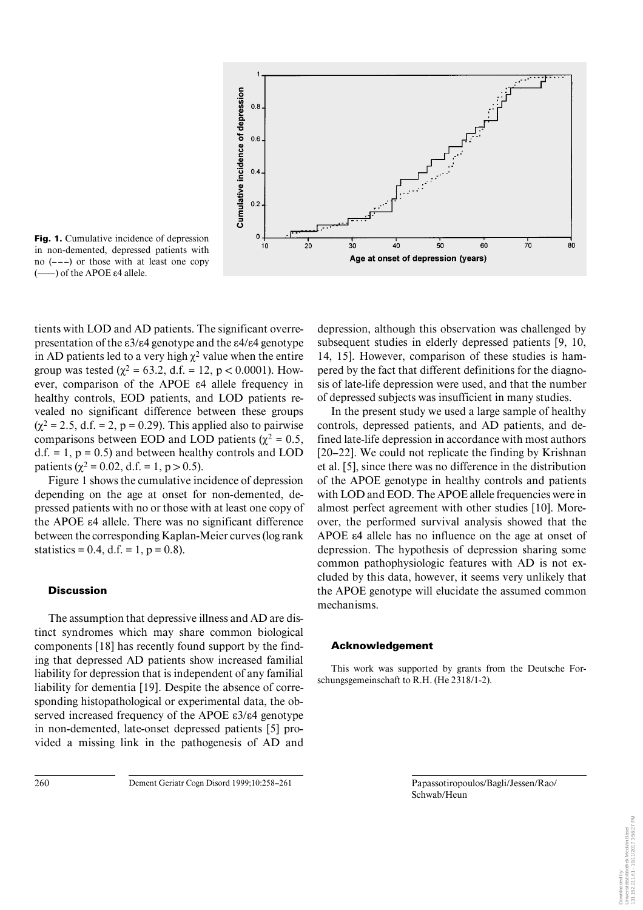

**Fig. 1.** Cumulative incidence of depression in non-demented, depressed patients with no  $(--1)$  or those with at least one copy  $(-$ ) of the APOE  $\varepsilon$ 4 allele.

tients with LOD and AD patients. The significant overrepresentation of the  $\epsilon 3/\epsilon 4$  genotype and the  $\epsilon 4/\epsilon 4$  genotype in AD patients led to a very high  $\chi^2$  value when the entire group was tested ( $\chi^2$  = 63.2, d.f. = 12, p < 0.0001). However, comparison of the APOE  $\varepsilon$ 4 allele frequency in healthy controls, EOD patients, and LOD patients revealed no significant difference between these groups  $(\chi^2 = 2.5, d.f. = 2, p = 0.29)$ . This applied also to pairwise comparisons between EOD and LOD patients ( $\chi^2$  = 0.5, d.f. = 1,  $p = 0.5$ ) and between healthy controls and LOD patients ( $\chi^2$  = 0.02, d.f. = 1, p > 0.5).

Figure 1 shows the cumulative incidence of depression depending on the age at onset for non-demented, depressed patients with no or those with at least one copy of the APOE  $\varepsilon$ 4 allele. There was no significant difference between the corresponding Kaplan-Meier curves (log rank statistics = 0.4, d.f. = 1,  $p = 0.8$ ).

# **Discussion**

The assumption that depressive illness and AD are distinct syndromes which may share common biological components [18] has recently found support by the finding that depressed AD patients show increased familial liability for depression that is independent of any familial liability for dementia [19]. Despite the absence of corresponding histopathological or experimental data, the observed increased frequency of the APOE  $\epsilon$ 3/ $\epsilon$ 4 genotype in non-demented, late-onset depressed patients [5] provided a missing link in the pathogenesis of AD and depression, although this observation was challenged by subsequent studies in elderly depressed patients [9, 10, 14, 15]. However, comparison of these studies is hampered by the fact that different definitions for the diagnosis of late-life depression were used, and that the number of depressed subjects was insufficient in many studies.

In the present study we used a large sample of healthy controls, depressed patients, and AD patients, and defined late-life depression in accordance with most authors [20–22]. We could not replicate the finding by Krishnan et al. [5], since there was no difference in the distribution of the APOE genotype in healthy controls and patients with LOD and EOD. The APOE allele frequencies were in almost perfect agreement with other studies [10]. Moreover, the performed survival analysis showed that the APOE  $\varepsilon$ 4 allele has no influence on the age at onset of depression. The hypothesis of depression sharing some common pathophysiologic features with AD is not excluded by this data, however, it seems very unlikely that the APOE genotype will elucidate the assumed common mechanisms.

## **Acknowledgement**

This work was supported by grants from the Deutsche Forschungsgemeinschaft to R.H. (He 2318/1-2).

Schwab/Heun